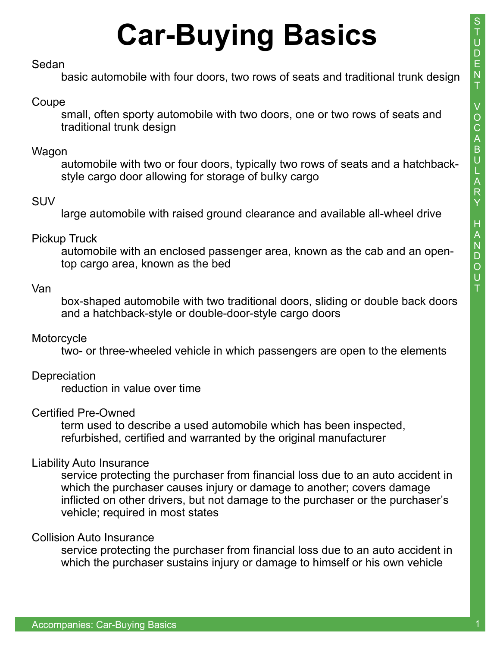# **Car-Buying Basics**

### Sedan

basic automobile with four doors, two rows of seats and traditional trunk design

## Coupe

small, often sporty automobile with two doors, one or two rows of seats and traditional trunk design

## Wagon

automobile with two or four doors, typically two rows of seats and a hatchbackstyle cargo door allowing for storage of bulky cargo

## **SUV**

large automobile with raised ground clearance and available all-wheel drive

## Pickup Truck

automobile with an enclosed passenger area, known as the cab and an opentop cargo area, known as the bed

## Van

box-shaped automobile with two traditional doors, sliding or double back doors and a hatchback-style or double-door-style cargo doors

## **Motorcycle**

two- or three-wheeled vehicle in which passengers are open to the elements

## **Depreciation**

reduction in value over time

## Certified Pre-Owned

term used to describe a used automobile which has been inspected, refurbished, certified and warranted by the original manufacturer

## Liability Auto Insurance

service protecting the purchaser from financial loss due to an auto accident in which the purchaser causes injury or damage to another; covers damage inflicted on other drivers, but not damage to the purchaser or the purchaser's vehicle; required in most states

#### Collision Auto Insurance

service protecting the purchaser from financial loss due to an auto accident in which the purchaser sustains injury or damage to himself or his own vehicle